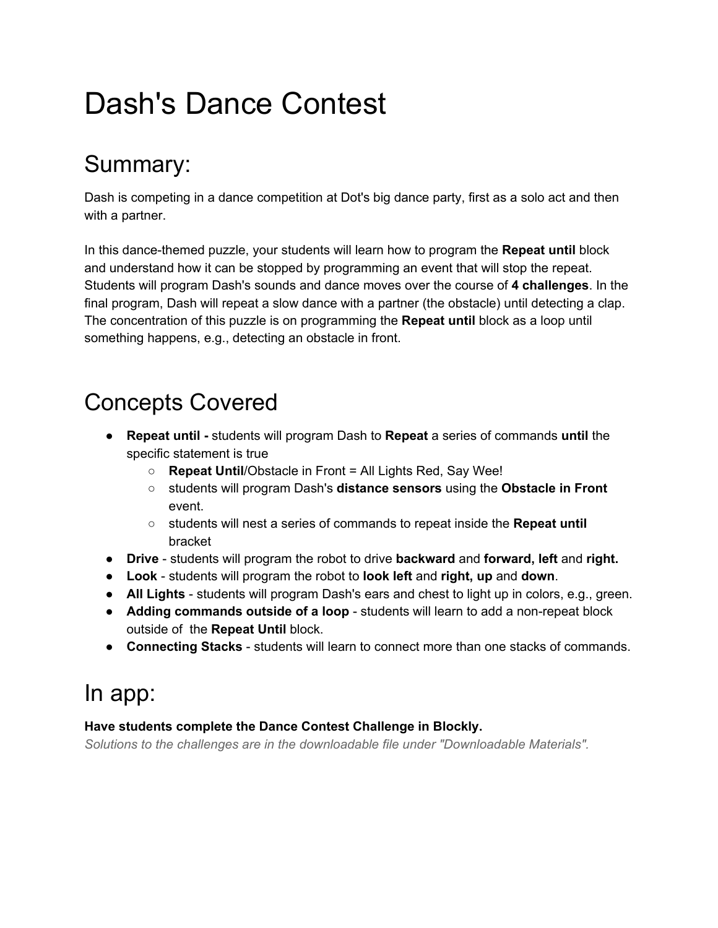# Dash's Dance Contest

### Summary:

Dash is competing in a dance competition at Dot's big dance party, first as a solo act and then with a partner.

In this dance-themed puzzle, your students will learn how to program the **Repeat until** block and understand how it can be stopped by programming an event that will stop the repeat. Students will program Dash's sounds and dance moves over the course of **4 challenges**. In the final program, Dash will repeat a slow dance with a partner (the obstacle) until detecting a clap. The concentration of this puzzle is on programming the **Repeat until** block as a loop until something happens, e.g., detecting an obstacle in front.

# Concepts Covered

- **Repeat until**  students will program Dash to **Repeat** a series of commands **until** the specific statement is true
	- **Repeat Until**/Obstacle in Front = All Lights Red, Say Wee!
	- students will program Dash's **distance sensors** u sing the **Obstacle in Front** event.
	- students will nest a series of commands to repeat inside the **Repeat until** bracket
- **• Drive** students will program the robot to drive **backward** and **forward, left** and **right.**
- **Look** students will program the robot to **look left** and **right, up** and **down**.
- All Lights students will program Dash's ears and chest to light up in colors, e.g., green.
- **Adding commands outside of a loop** students will learn to add a non-repeat block outside of the **Repeat Until** block.
- **Connecting Stacks** students will learn to connect more than one stacks of commands.

# In app:

#### **Have students complete the Dance Contest Challenge in Blockly.**

*Solutions to the challenges are in the downloadable file under "Downloadable Materials".*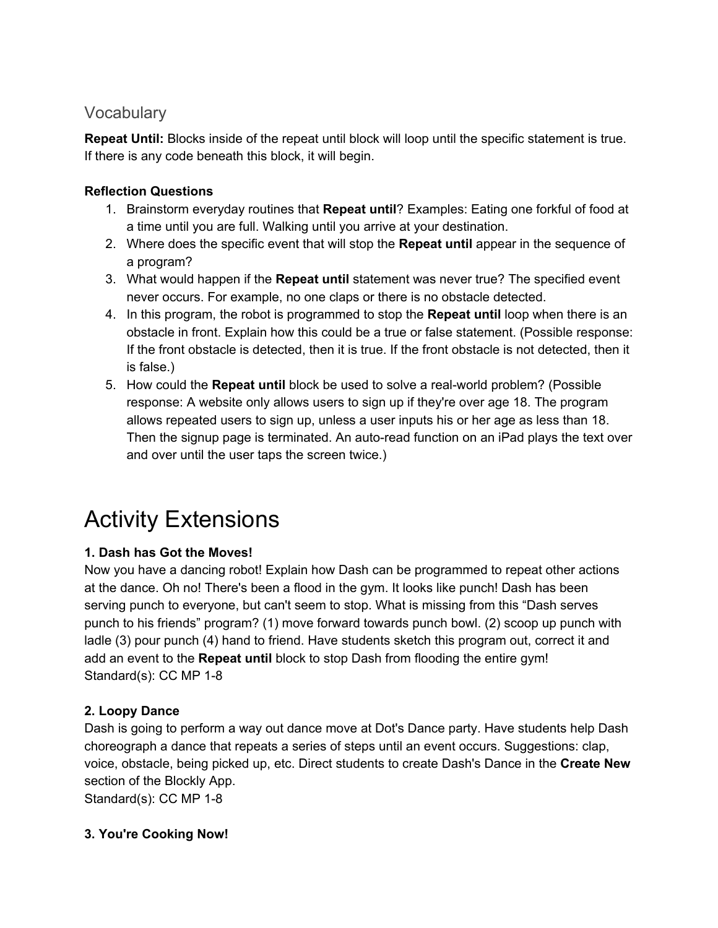### **Vocabulary**

**Repeat Until:** Blocks inside of the repeat until block will loop until the specific statement is true. If there is any code beneath this block, it will begin.

### **Reflection Questions**

- 1. Brainstorm everyday routines that **Repeat until**? Examples: Eating one forkful of food at a time until you are full. Walking until you arrive at your destination.
- 2. Where does the specific event that will stop the **Repeat until** appear in the sequence of a program?
- 3. What would happen if the **Repeat until** statement was never true? The specified event never occurs. For example, no one claps or there is no obstacle detected.
- 4. In this program, the robot is programmed to stop the **Repeat until** loop when there is an obstacle in front. Explain how this could be a true or false statement. (Possible response: If the front obstacle is detected, then it is true. If the front obstacle is not detected, then it is false.)
- 5. How could the **Repeat until** block be used to solve a realworld problem? (Possible response: A website only allows users to sign up if they're over age 18. The program allows repeated users to sign up, unless a user inputs his or her age as less than 18. Then the signup page is terminated. An auto-read function on an iPad plays the text over and over until the user taps the screen twice.)

# Activity Extensions

### **1. Dash has Got the Moves!**

Now you have a dancing robot! Explain how Dash can be programmed to repeat other actions at the dance. Oh no! There's been a flood in the gym. It looks like punch! Dash has been serving punch to everyone, but can't seem to stop. What is missing from this "Dash serves punch to his friends" program? (1) move forward towards punch bowl. (2) scoop up punch with ladle (3) pour punch (4) hand to friend. Have students sketch this program out, correct it and add an event to the **Repeat until** block to stop Dash from flooding the entire gym! Standard(s):  $CC MP 1-8$ 

### **2. Loopy Dance**

Dash is going to perform a way out dance move at Dot's Dance party. Have students help Dash choreograph a dance that repeats a series of steps until an event occurs. Suggestions: clap, voice, obstacle, being picked up, etc. Direct students to create Dash's Dance in the **Create New** section of the Blockly App.

Standard(s):  $CC MP 1-8$ 

### **3. You're Cooking Now!**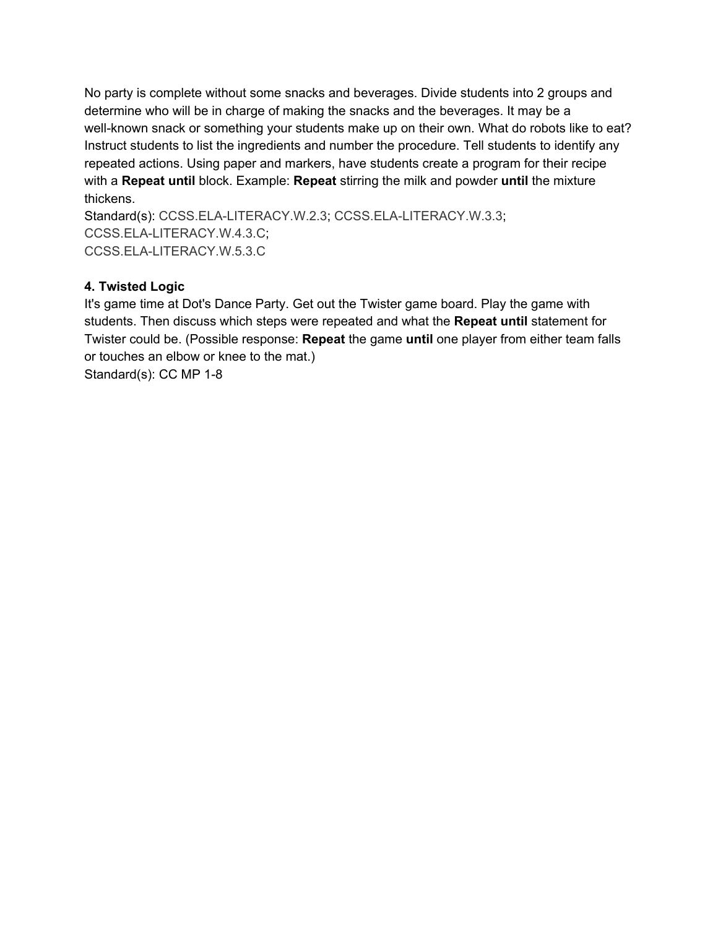No party is complete without some snacks and beverages. Divide students into 2 groups and determine who will be in charge of making the snacks and the beverages. It may be a well-known snack or something your students make up on their own. What do robots like to eat? Instruct students to list the ingredients and number the procedure. Tell students to identify any repeated actions. Using paper and markers, have students create a program for their recipe with a **Repeat until** block. Example: **Repeat** stirring the milk and powder until the mixture thickens.

Standard(s): CCSS.ELA-LITERACY.W.2.3; CCSS.ELA-LITERACY.W.3.3; CCSS.ELA-LITERACY.W.4.3.C; CCSS.ELA-LITERACY.W.5.3.C

#### **4. Twisted Logic**

It's game time at Dot's Dance Party. Get out the Twister game board. Play the game with students. Then discuss which steps were repeated and what the Repeat until statement for Twister could be. (Possible response: **Repeat** the game **until** one player from either team falls or touches an elbow or knee to the mat.) Standard(s):  $CC MP 1-8$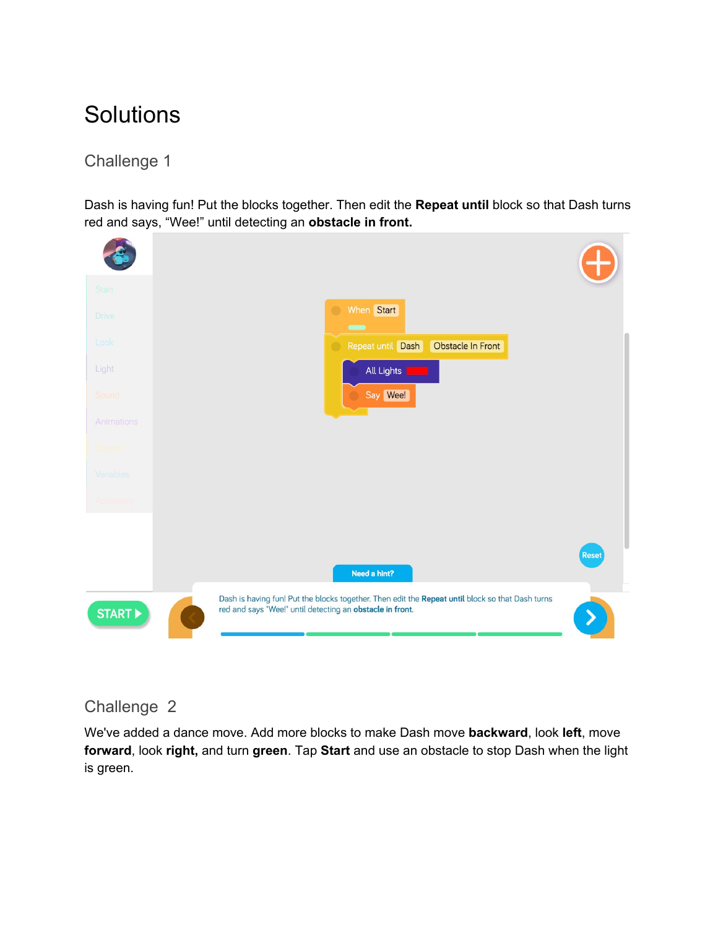# **Solutions**

### Challenge 1

Dash is having fun! Put the blocks together. Then edit the **Repeat until** block so that Dash turns red and says, "Wee!" until detecting an **obstacle in front.**



### Challenge 2

We've added a dance move. Add more blocks to make Dash move **backward**, look **left**, move **forward**, look **right,** and turn **green**. Tap **Start** and use an obstacle to stop Dash when the light is green.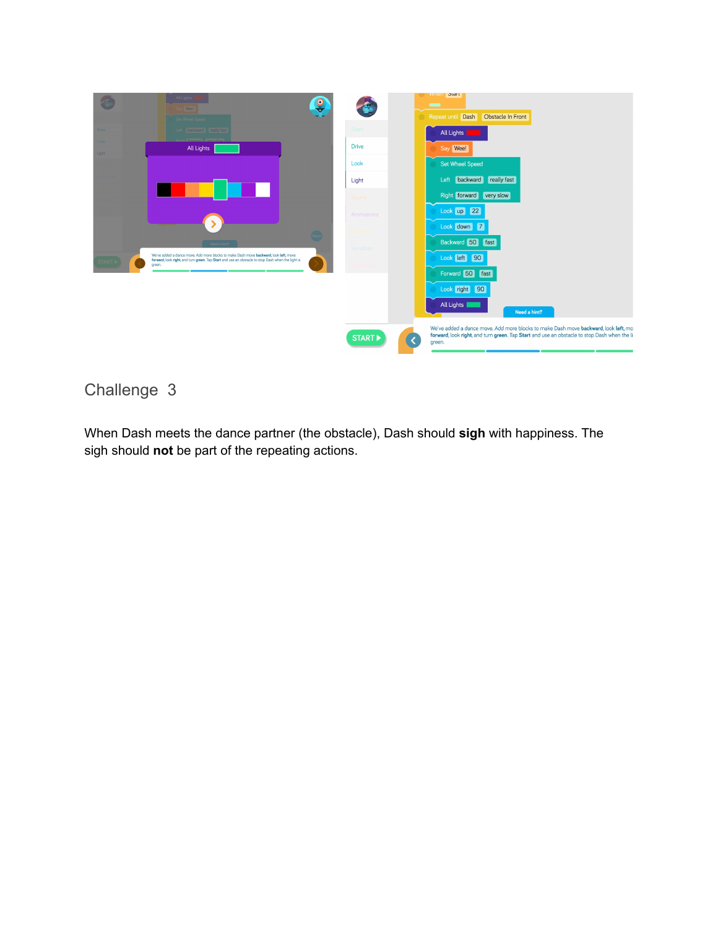

### Challenge 3

When Dash meets the dance partner (the obstacle), Dash should **sigh** with happiness. The sigh should **not** be part of the repeating actions.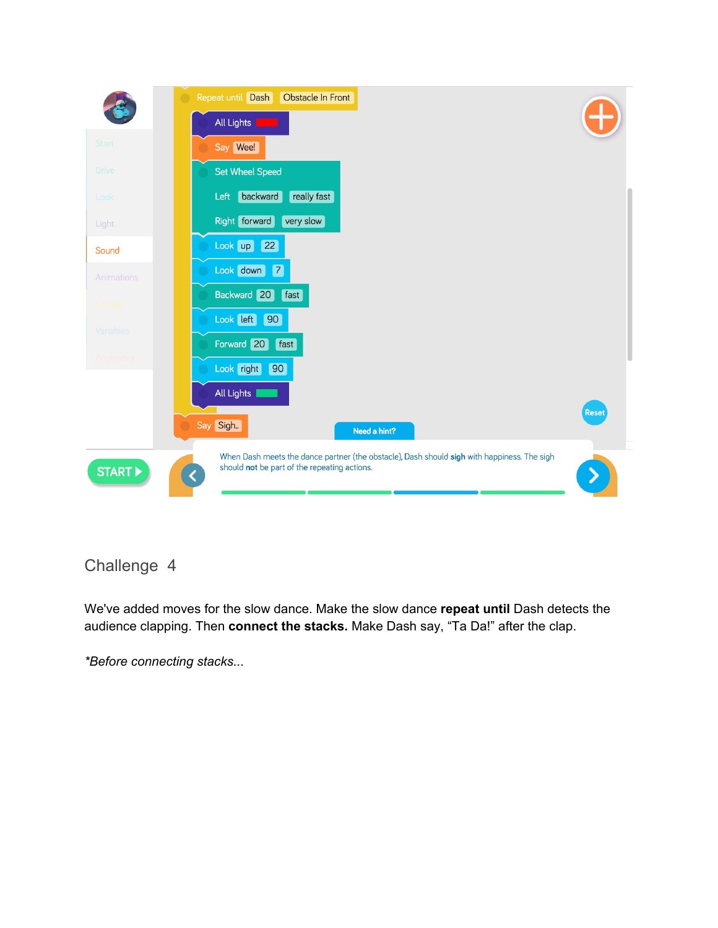

### Challenge 4

We've added moves for the slow dance. Make the slow dance repeat until Dash detects the audience clapping. Then **connect the stacks.** Make Dash say, "Ta Da!" after the clap.

*\*Before connecting stacks...*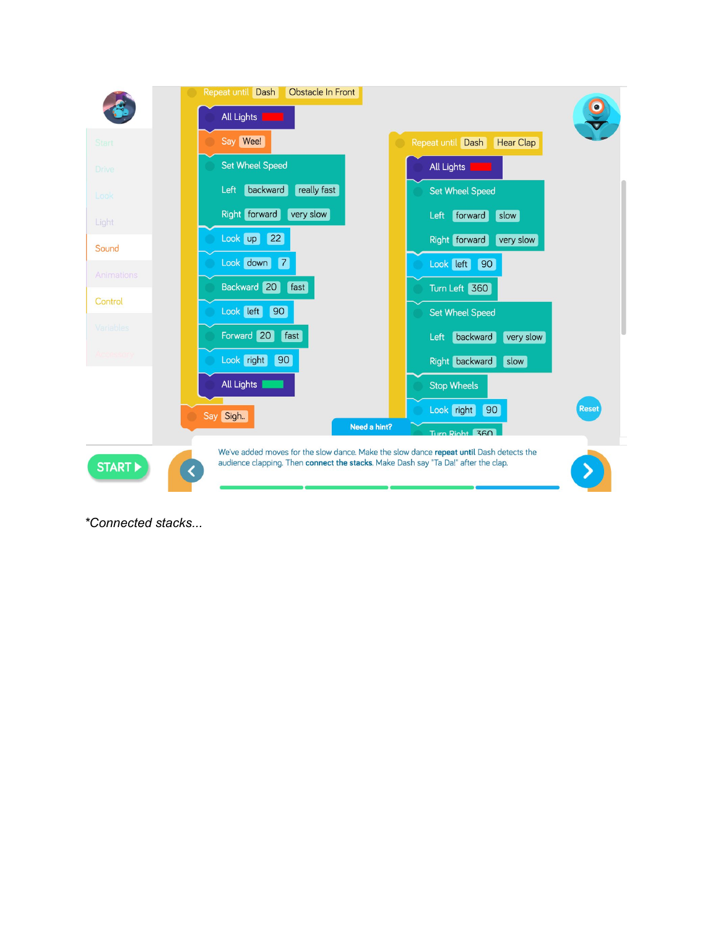

*\*Connected stacks...*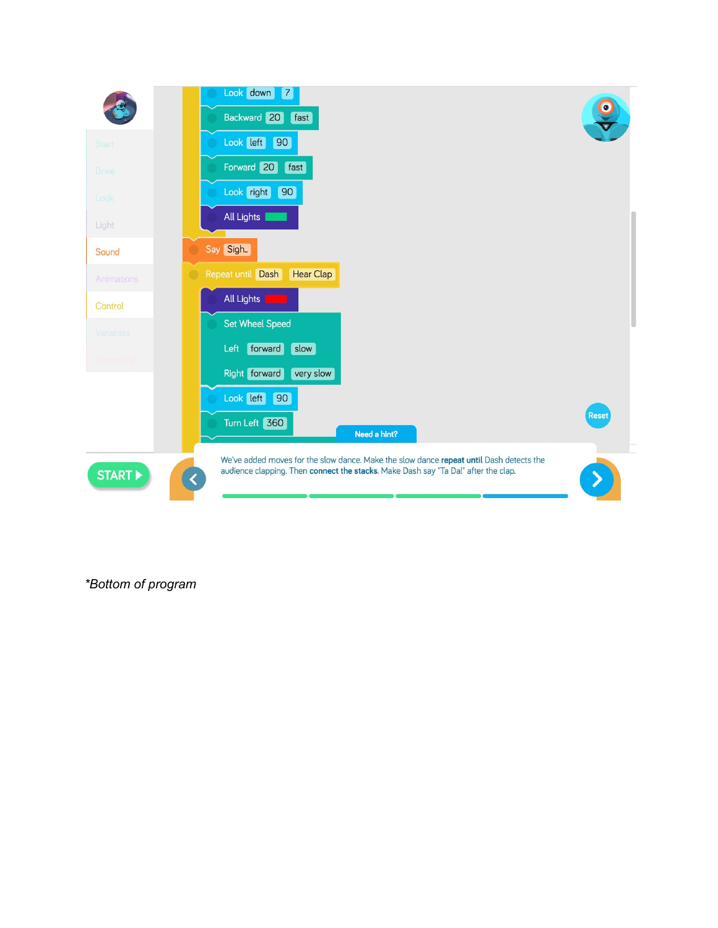

*\*Bottom of program*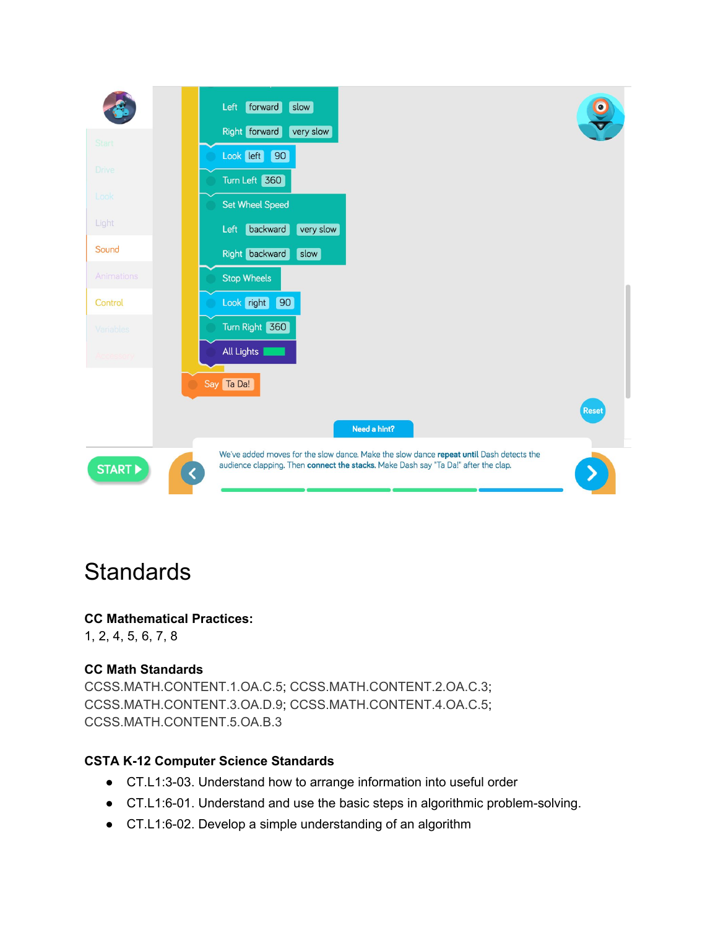

### **Standards**

### **CC Mathematical Practices:**

1, 2, 4, 5, 6, 7, 8

### **CC Math Standards**

[CCSS.MATH.CONTENT.1.OA.C.5;](http://www.corestandards.org/Math/Content/1/OA/C/5/) [CCSS.MATH.CONTENT.2.OA.C.3;](http://www.corestandards.org/Math/Content/2/OA/C/3/) [CCSS.MATH.CONTENT.3.OA.D.9;](http://www.corestandards.org/Math/Content/3/OA/D/9/) [CCSS.MATH.CONTENT.4.OA.C.5;](http://www.corestandards.org/Math/Content/4/OA/C/5/) [CCSS.MATH.CONTENT.5.OA.B.3](http://www.corestandards.org/Math/Content/5/OA/B/3/)

### **CSTA K12 Computer Science Standards**

- CT.L1:3-03. Understand how to arrange information into useful order
- CT.L1:6-01. Understand and use the basic steps in algorithmic problem-solving.
- CT.L1:6-02. Develop a simple understanding of an algorithm